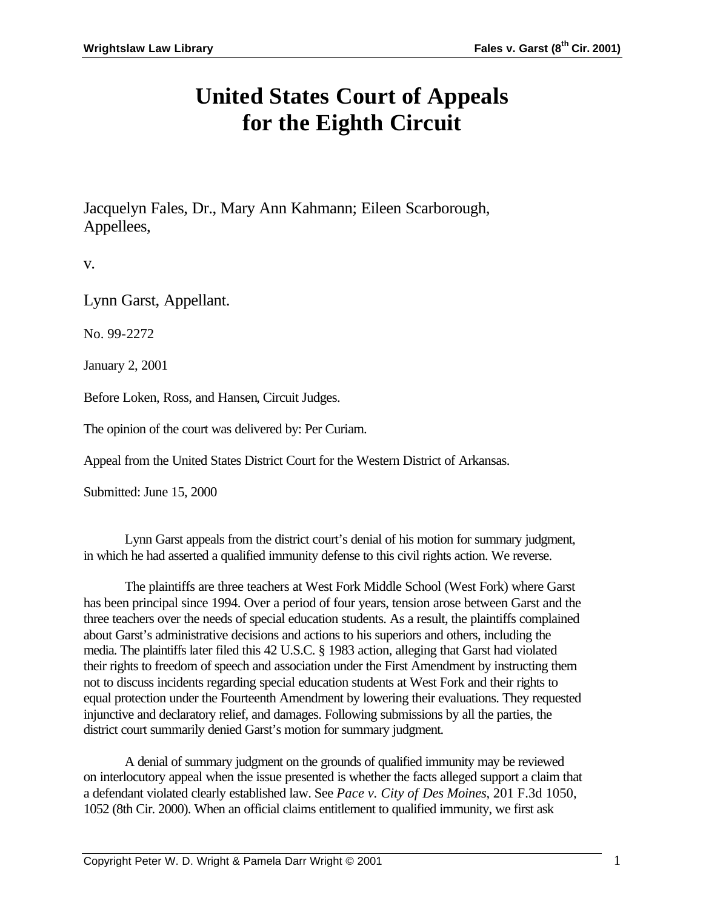## **United States Court of Appeals for the Eighth Circuit**

Jacquelyn Fales, Dr., Mary Ann Kahmann; Eileen Scarborough, Appellees,

v.

Lynn Garst, Appellant.

No. 99-2272

January 2, 2001

Before Loken, Ross, and Hansen, Circuit Judges.

The opinion of the court was delivered by: Per Curiam.

Appeal from the United States District Court for the Western District of Arkansas.

Submitted: June 15, 2000

Lynn Garst appeals from the district court's denial of his motion for summary judgment, in which he had asserted a qualified immunity defense to this civil rights action. We reverse.

The plaintiffs are three teachers at West Fork Middle School (West Fork) where Garst has been principal since 1994. Over a period of four years, tension arose between Garst and the three teachers over the needs of special education students. As a result, the plaintiffs complained about Garst's administrative decisions and actions to his superiors and others, including the media. The plaintiffs later filed this 42 U.S.C. § 1983 action, alleging that Garst had violated their rights to freedom of speech and association under the First Amendment by instructing them not to discuss incidents regarding special education students at West Fork and their rights to equal protection under the Fourteenth Amendment by lowering their evaluations. They requested injunctive and declaratory relief, and damages. Following submissions by all the parties, the district court summarily denied Garst's motion for summary judgment.

A denial of summary judgment on the grounds of qualified immunity may be reviewed on interlocutory appeal when the issue presented is whether the facts alleged support a claim that a defendant violated clearly established law. See *Pace v. City of Des Moines*, 201 F.3d 1050, 1052 (8th Cir. 2000). When an official claims entitlement to qualified immunity, we first ask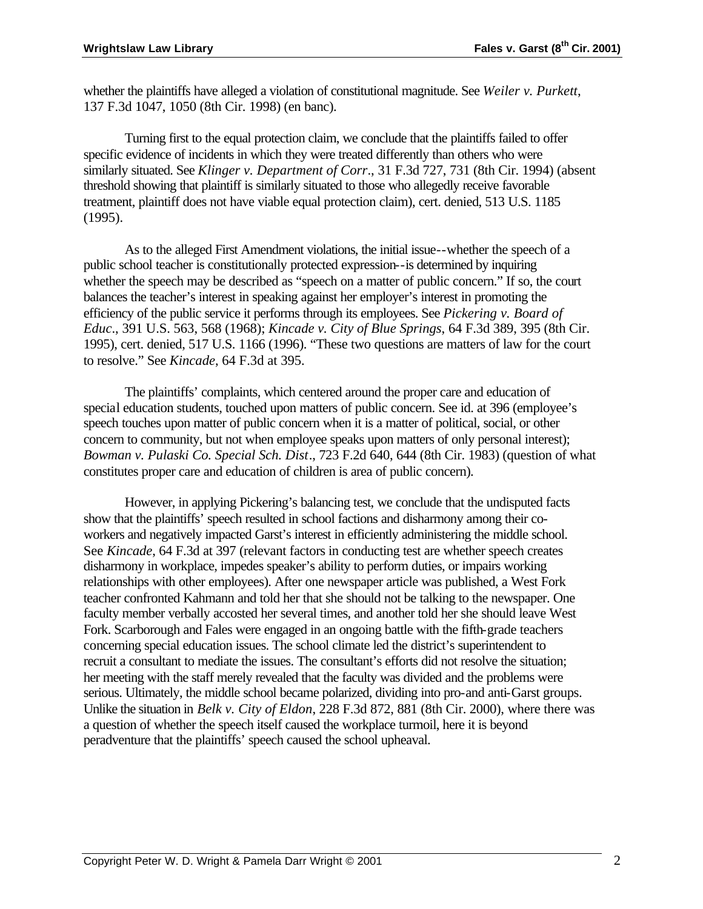whether the plaintiffs have alleged a violation of constitutional magnitude. See *Weiler v. Purkett*, 137 F.3d 1047, 1050 (8th Cir. 1998) (en banc).

Turning first to the equal protection claim, we conclude that the plaintiffs failed to offer specific evidence of incidents in which they were treated differently than others who were similarly situated. See *Klinger v. Department of Corr*., 31 F.3d 727, 731 (8th Cir. 1994) (absent threshold showing that plaintiff is similarly situated to those who allegedly receive favorable treatment, plaintiff does not have viable equal protection claim), cert. denied, 513 U.S. 1185 (1995).

As to the alleged First Amendment violations, the initial issue--whether the speech of a public school teacher is constitutionally protected expression--is determined by inquiring whether the speech may be described as "speech on a matter of public concern." If so, the court balances the teacher's interest in speaking against her employer's interest in promoting the efficiency of the public service it performs through its employees. See *Pickering v. Board of Educ*., 391 U.S. 563, 568 (1968); *Kincade v. City of Blue Springs*, 64 F.3d 389, 395 (8th Cir. 1995), cert. denied, 517 U.S. 1166 (1996). "These two questions are matters of law for the court to resolve." See *Kincade*, 64 F.3d at 395.

The plaintiffs' complaints, which centered around the proper care and education of special education students, touched upon matters of public concern. See id. at 396 (employee's speech touches upon matter of public concern when it is a matter of political, social, or other concern to community, but not when employee speaks upon matters of only personal interest); *Bowman v. Pulaski Co. Special Sch. Dist*., 723 F.2d 640, 644 (8th Cir. 1983) (question of what constitutes proper care and education of children is area of public concern).

However, in applying Pickering's balancing test, we conclude that the undisputed facts show that the plaintiffs' speech resulted in school factions and disharmony among their coworkers and negatively impacted Garst's interest in efficiently administering the middle school. See *Kincade*, 64 F.3d at 397 (relevant factors in conducting test are whether speech creates disharmony in workplace, impedes speaker's ability to perform duties, or impairs working relationships with other employees). After one newspaper article was published, a West Fork teacher confronted Kahmann and told her that she should not be talking to the newspaper. One faculty member verbally accosted her several times, and another told her she should leave West Fork. Scarborough and Fales were engaged in an ongoing battle with the fifth-grade teachers concerning special education issues. The school climate led the district's superintendent to recruit a consultant to mediate the issues. The consultant's efforts did not resolve the situation; her meeting with the staff merely revealed that the faculty was divided and the problems were serious. Ultimately, the middle school became polarized, dividing into pro-and anti-Garst groups. Unlike the situation in *Belk v. City of Eldon*, 228 F.3d 872, 881 (8th Cir. 2000), where there was a question of whether the speech itself caused the workplace turmoil, here it is beyond peradventure that the plaintiffs' speech caused the school upheaval.